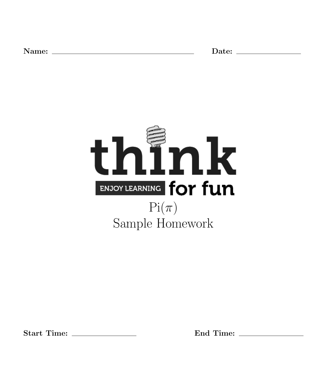Name: Date:



Start Time: End Time: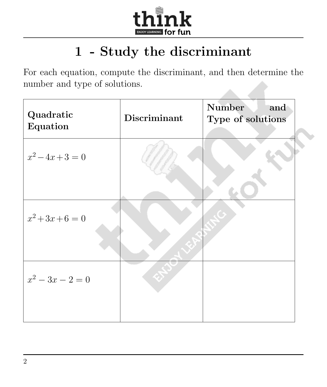

# 1 - Study the discriminant

For each equation, compute the discriminant, and then determine the number and type of solutions.

| Quadratic<br>Equation | Discriminant | <b>Number</b><br>and<br>Type of solutions |
|-----------------------|--------------|-------------------------------------------|
| $x^2-4x+3=0$          |              |                                           |
|                       |              |                                           |
| $x^2+3x+6=0$          |              |                                           |
| $x^2-3x-2=0$          |              |                                           |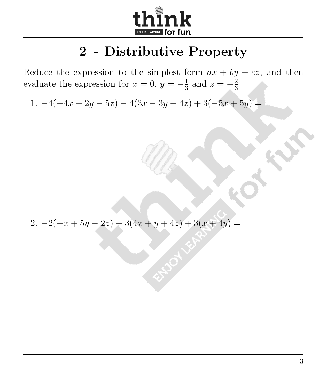

#### 2 - Distributive Property

Reduce the expression to the simplest form  $ax + by + cz$ , and then evaluate the expression for  $x = 0, y = -\frac{1}{3}$  $\frac{1}{3}$  and  $z = -\frac{2}{3}$ 3

1.  $-4(-4x+2y-5z) - 4(3x-3y-4z) + 3(-5x+5y) =$ 

2.  $-2(-x+5y-2z) - 3(4x+y+4z) + 3(x+4y) =$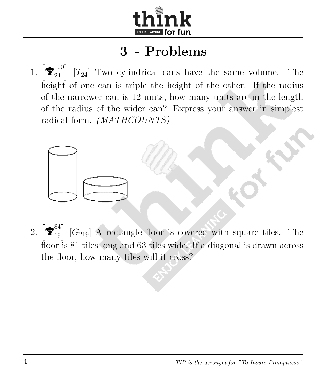

1. h  $\begin{bmatrix} 100 \ 24 \end{bmatrix}$  $[T_{24}]$  Two cylindrical cans have the same volume. The height of one can is triple the height of the other. If the radius of the narrower can is 12 units, how many units are in the length of the radius of the wider can? Express your answer in simplest radical form. (MATHCOUNTS)



 $2.$ 84  $\begin{bmatrix} 84 \ 19 \end{bmatrix}$  $[G_{219}]$  A rectangle floor is covered with square tiles. The floor is 81 tiles long and 63 tiles wide. If a diagonal is drawn across the floor, how many tiles will it cross?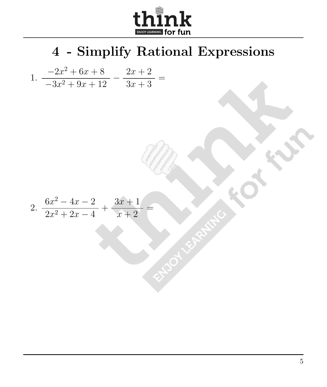

4 - Simplify Rational Expressions

1. 
$$
\frac{-2x^2 + 6x + 8}{-3x^2 + 9x + 12} - \frac{2x + 2}{3x + 3} =
$$

2. 
$$
\frac{6x^2 - 4x - 2}{2x^2 + 2x - 4} + \frac{3x + 1}{x + 2} =
$$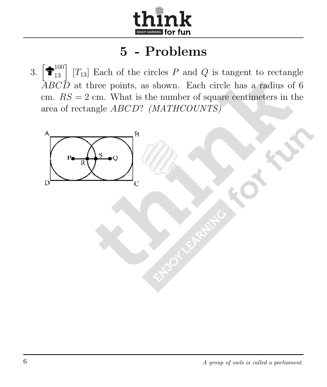

3. h  $\begin{bmatrix} 100 \ 13 \end{bmatrix}$  $[T_{13}]$  Each of the circles  $P$  and  $Q$  is tangent to rectangle  $\overline{ABCD}$  at three points, as shown. Each circle has a radius of 6 cm.  $RS = 2$  cm. What is the number of square centimeters in the area of rectangle ABCD? (MATHCOUNTS)

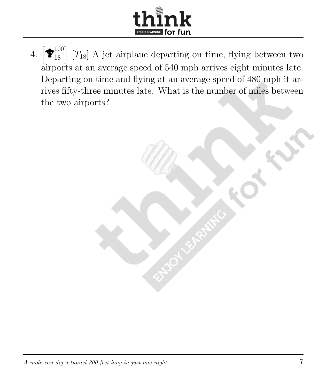

4.  $\left[\begin{matrix} \bigstar \ 100 \\ 18 \end{matrix}\right]$  $\left[T_{18}\right]$  A jet airplane departing on time, flying between two airports at an average speed of 540 mph arrives eight minutes late. Departing on time and flying at an average speed of 480 mph it arrives fifty-three minutes late. What is the number of miles between the two airports?

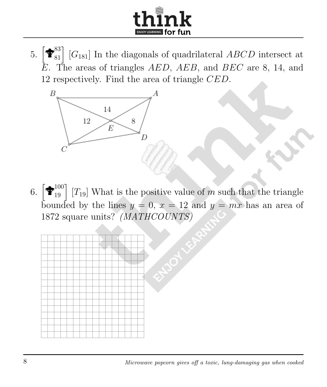

5.  $\left[\mathbf{\hat{\mathbf{\Phi}}}_{81}^{83}\right]$  [ $G_{181}$ ] In the diagonals of quadrilateral *ABCD* intersect at  $\overline{E}$ . The areas of triangles AED, AEB, and BEC are 8, 14, and 12 respectively. Find the area of triangle CED.



6.  $\left[\hat{\mathbf{T}}_{19}^{100}\right]$  [T<sub>19</sub>] What is the positive value of m such that the triangle bounded by the lines  $y = 0, x = 12$  and  $y = mx$  has an area of 1872 square units? (MATHCOUNTS)

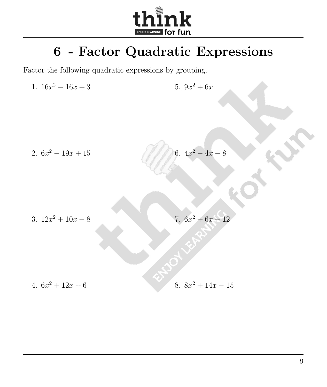

## 6 - Factor Quadratic Expressions

Factor the following quadratic expressions by grouping.

1.  $16x^2 - 16x + 3$ 5.  $9x^2 + 6x$ 

2.  $6x^2 - 19x + 15$ 

6.  $4x^2 - 4x - 8$ 

3.  $12x^2 + 10x - 8$ 

7.  $6x^2 + 6x - 12$ 

4.  $6x^2 + 12x + 6$ 

8.  $8x^2 + 14x - 15$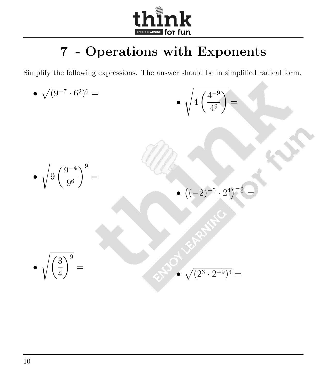

# 7 - Operations with Exponents

Simplify the following expressions. The answer should be in simplified radical form.

A

• 
$$
\sqrt{9\left(\frac{9^{-4}}{9^{6}}\right)^{9}} =
$$
  
\n•  $\sqrt{9\left(\frac{9^{-4}}{9^{6}}\right)^{9}} =$   
\n•  $\sqrt{(1-2)^{-5} \cdot 2^{4}} =$   
\n•  $\sqrt{\left(\frac{3}{4}\right)^{9}} =$   
\n•  $\sqrt{(2^{3} \cdot 2^{-9})^{4}} =$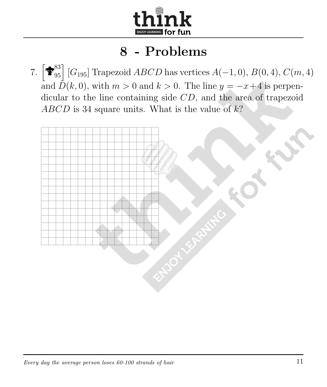

7.  $\left[\hat{\mathbf{\Phi}}_{95}^{83}\right]$  [ $G_{195}$ ] Trapezoid ABCD has vertices  $A(-1,0), B(0,4), C(m,4)$ and  $\overrightarrow{D}(k, 0)$ , with  $m > 0$  and  $k > 0$ . The line  $y = -x+4$  is perpendicular to the line containing side CD, and the area of trapezoid ABCD is 34 square units. What is the value of  $k$ ?

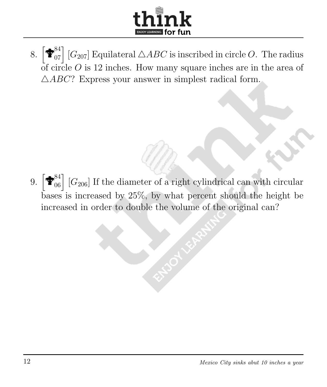

8.  $\left[\widehat{\mathbf{T}}_{07}^{84}\right]$  [ $G_{207}$ ] Equilateral  $\triangle ABC$  is inscribed in circle O. The radius of circle  $O$  is 12 inches. How many square inches are in the area of  $\triangle ABC$ ? Express your answer in simplest radical form.

9.  $\left[\hat{\mathbf{\Phi}}_{06}^{84}\right]$  [ $G_{206}$ ] If the diameter of a right cylindrical can with circular bases is increased by 25%, by what percent should the height be increased in order to double the volume of the original can?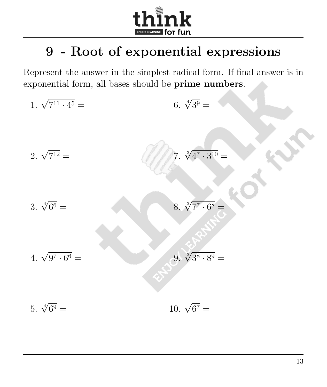

# 9 - Root of exponential expressions

Represent the answer in the simplest radical form. If final answer is in exponential form, all bases should be prime numbers.

1. 
$$
\sqrt{7^{11} \cdot 4^5} =
$$
  
\n2.  $\sqrt{7^{12}} =$   
\n3.  $\sqrt[4]{6^6} =$   
\n4.  $\sqrt{9^7 \cdot 6^6} =$   
\n5.  $\sqrt[4]{6^9} =$   
\n6.  $\sqrt[4]{3^9} =$   
\n7.  $\sqrt[3]{4^7 \cdot 3^{10}} =$   
\n8.  $\sqrt[3]{7^7 \cdot 6^8} =$   
\n9.  $\sqrt[4]{3^8 \cdot 8^9} =$   
\n10.  $\sqrt{6^7} =$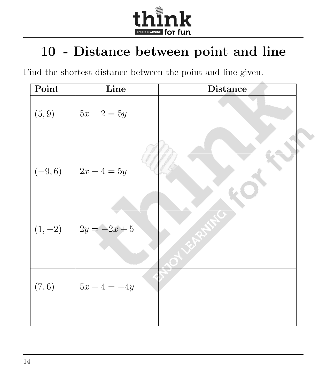

### 10 - Distance between point and line

Find the shortest distance between the point and line given.

| Point  | Line                    | <b>Distance</b> |
|--------|-------------------------|-----------------|
| (5, 9) | $ 5x - 2 = 5y $         |                 |
|        | $(-9,6)$ $2x-4=5y$      |                 |
|        | $(1,-2)$ $2y = -2x + 5$ |                 |
| (7, 6) | $5x - 4 = -4y$          |                 |
|        |                         |                 |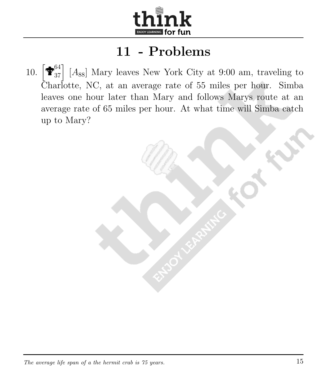

 $10.$  $\begin{bmatrix} 64 \ 37 \end{bmatrix}$  $[A_{88}]$  Mary leaves New York City at 9:00 am, traveling to Charlotte, NC, at an average rate of 55 miles per hour. Simba leaves one hour later than Mary and follows Marys route at an average rate of 65 miles per hour. At what time will Simba catch up to Mary?